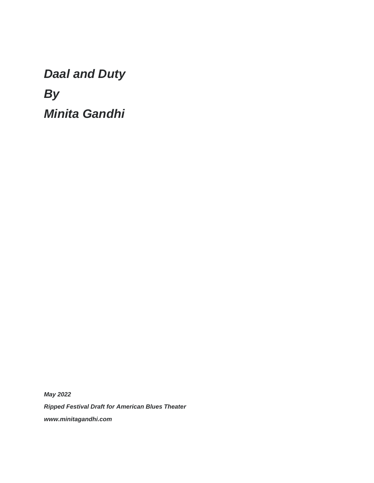*Daal and Duty By Minita Gandhi* 

*May 2022 Ripped Festival Draft for American Blues Theater www.minitagandhi.com*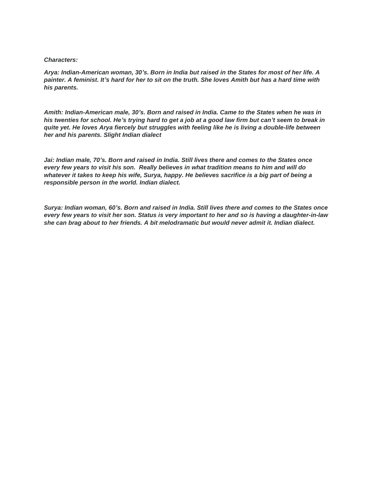#### *Characters:*

*Arya: Indian-American woman, 30's. Born in India but raised in the States for most of her life. A painter. A feminist. It's hard for her to sit on the truth. She loves Amith but has a hard time with his parents.*

*Amith: Indian-American male, 30's. Born and raised in India. Came to the States when he was in his twenties for school. He's trying hard to get a job at a good law firm but can't seem to break in quite yet. He loves Arya fiercely but struggles with feeling like he is living a double-life between her and his parents. Slight Indian dialect*

*Jai: Indian male, 70's. Born and raised in India. Still lives there and comes to the States once every few years to visit his son. Really believes in what tradition means to him and will do whatever it takes to keep his wife, Surya, happy. He believes sacrifice is a big part of being a responsible person in the world. Indian dialect.*

*Surya: Indian woman, 60's. Born and raised in India. Still lives there and comes to the States once every few years to visit her son. Status is very important to her and so is having a daughter-in-law she can brag about to her friends. A bit melodramatic but would never admit it. Indian dialect.*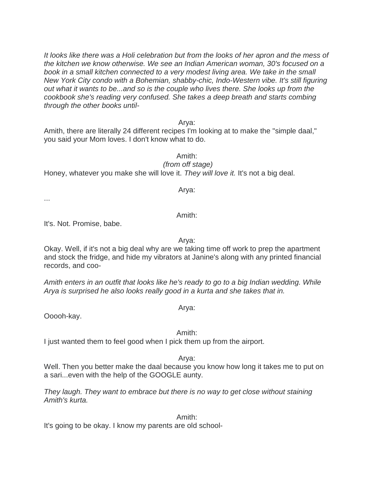*It looks like there was a Holi celebration but from the looks of her apron and the mess of the kitchen we know otherwise. We see an Indian American woman, 30's focused on a book in a small kitchen connected to a very modest living area. We take in the small New York City condo with a Bohemian, shabby-chic, Indo-Western vibe. It's still figuring out what it wants to be...and so is the couple who lives there. She looks up from the cookbook she's reading very confused. She takes a deep breath and starts combing through the other books until-*

Arya:

Amith, there are literally 24 different recipes I'm looking at to make the "simple daal," you said your Mom loves. I don't know what to do.

Amith:

*(from off stage)* Honey, whatever you make she will love it. *They will love it.* It's not a big deal.

Arya:

...

It's. Not. Promise, babe.

Arya:

Amith:

Okay. Well, if it's not a big deal why are we taking time off work to prep the apartment and stock the fridge, and hide my vibrators at Janine's along with any printed financial records, and coo-

*Amith enters in an outfit that looks like he's ready to go to a big Indian wedding. While Arya is surprised he also looks really good in a kurta and she takes that in.*

Ooooh-kay.

Amith:

Arya:

I just wanted them to feel good when I pick them up from the airport.

Arya:

Well. Then you better make the daal because you know how long it takes me to put on a sari...even with the help of the GOOGLE aunty.

*They laugh. They want to embrace but there is no way to get close without staining Amith's kurta.*

Amith:

It's going to be okay. I know my parents are old school-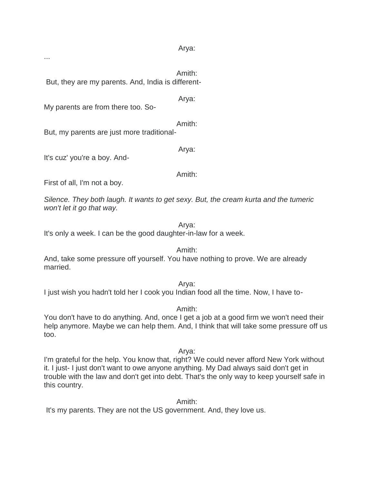Arya:

...

Amith: But, they are my parents. And, India is different-

Arya:

My parents are from there too. So-

Amith: But, my parents are just more traditional-

It's cuz' you're a boy. And-

Amith:

Arya:

First of all, I'm not a boy.

*Silence. They both laugh. It wants to get sexy. But, the cream kurta and the tumeric won't let it go that way.*

Arya:

It's only a week. I can be the good daughter-in-law for a week.

Amith:

And, take some pressure off yourself. You have nothing to prove. We are already married.

Arya: I just wish you hadn't told her I cook you Indian food all the time. Now, I have to-

Amith:

You don't have to do anything. And, once I get a job at a good firm we won't need their help anymore. Maybe we can help them. And, I think that will take some pressure off us too.

Arya:

I'm grateful for the help. You know that, right? We could never afford New York without it. I just- I just don't want to owe anyone anything. My Dad always said don't get in trouble with the law and don't get into debt. That's the only way to keep yourself safe in this country.

Amith:

It's my parents. They are not the US government. And, they love us.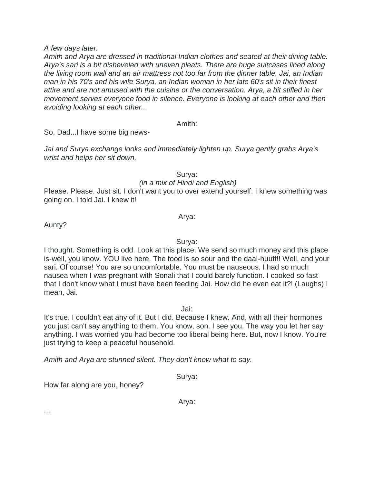*A few days later.*

*Amith and Arya are dressed in traditional Indian clothes and seated at their dining table. Arya's sari is a bit disheveled with uneven pleats. There are huge suitcases lined along the living room wall and an air mattress not too far from the dinner table. Jai, an Indian man in his 70's and his wife Surya, an Indian woman in her late 60's sit in their finest attire and are not amused with the cuisine or the conversation. Arya, a bit stifled in her movement serves everyone food in silence. Everyone is looking at each other and then avoiding looking at each other...*

Amith:

So, Dad...I have some big news-

*Jai and Surya exchange looks and immediately lighten up. Surya gently grabs Arya's wrist and helps her sit down,*

Surya:

*(in a mix of Hindi and English)*

Please. Please. Just sit. I don't want you to over extend yourself. I knew something was going on. I told Jai. I knew it!

Arya:

Aunty?

Surya:

I thought. Something is odd. Look at this place. We send so much money and this place is-well, you know. YOU live here. The food is so sour and the daal-huuff!! Well, and your sari. Of course! You are so uncomfortable. You must be nauseous. I had so much nausea when I was pregnant with Sonali that I could barely function. I cooked so fast that I don't know what I must have been feeding Jai. How did he even eat it?! (Laughs) I mean, Jai.

Jai:

It's true. I couldn't eat any of it. But I did. Because I knew. And, with all their hormones you just can't say anything to them. You know, son. I see you. The way you let her say anything. I was worried you had become too liberal being here. But, now I know. You're just trying to keep a peaceful household.

*Amith and Arya are stunned silent. They don't know what to say.*

Surya:

How far along are you, honey?

Arya:

...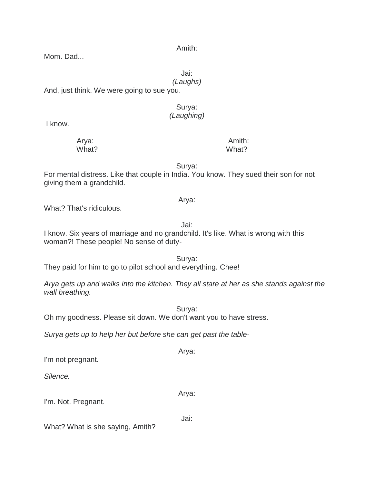Amith:

Mom. Dad...

Jai:

*(Laughs)*

And, just think. We were going to sue you.

### Surya: *(Laughing)*

I know.

 Arya: Amith: What? What?

Surya:

Arya:

For mental distress. Like that couple in India. You know. They sued their son for not giving them a grandchild.

## What? That's ridiculous.

Jai: I know. Six years of marriage and no grandchild. It's like. What is wrong with this woman?! These people! No sense of duty-

Surya: They paid for him to go to pilot school and everything. Chee!

*Arya gets up and walks into the kitchen. They all stare at her as she stands against the wall breathing.*

Oh my goodness. Please sit down. We don't want you to have stress.

*Surya gets up to help her but before she can get past the table-*

I'm not pregnant.

*Silence.*

I'm. Not. Pregnant.

What? What is she saying, Amith?

Surya:

Arya:

Arya:

Jai: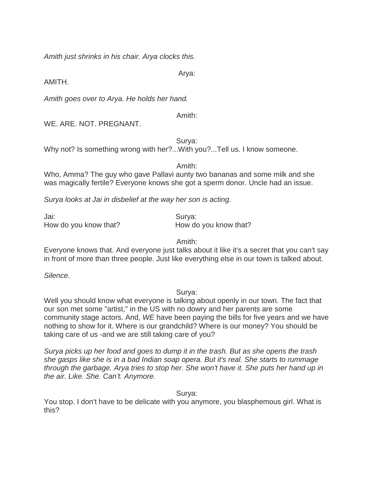*Amith just shrinks in his chair. Arya clocks this.*

Arya:

AMITH.

*Amith goes over to Arya. He holds her hand.*

Amith:

WE. ARE. NOT. PREGNANT.

Surya:

Why not? Is something wrong with her?...With you?...Tell us. I know someone.

Amith:

Who, Amma? The guy who gave Pallavi aunty two bananas and some milk and she was magically fertile? Everyone knows she got a sperm donor. Uncle had an issue.

*Surya looks at Jai in disbelief at the way her son is acting.*

Jai: Surya: How do you know that? How do you know that?

Amith:

Everyone knows that. And everyone just talks about it like it's a secret that you can't say in front of more than three people. Just like everything else in our town is talked about.

*Silence.*

Surya:

Well you should know what everyone is talking about openly in our town. The fact that our son met some "artist," in the US with no dowry and her parents are some community stage actors. And, *WE* have been paying the bills for five years and we have nothing to show for it. Where is our grandchild? Where is our money? You should be taking care of us -and we are still taking care of you?

*Surya picks up her food and goes to dump it in the trash. But as she opens the trash she gasps like she is in a bad Indian soap opera. But it's real. She starts to rummage through the garbage. Arya tries to stop her. She won't have it. She puts her hand up in the air. Like. She. Can't. Anymore.*

Surya:

You stop. I don't have to be delicate with you anymore, you blasphemous girl. What is this?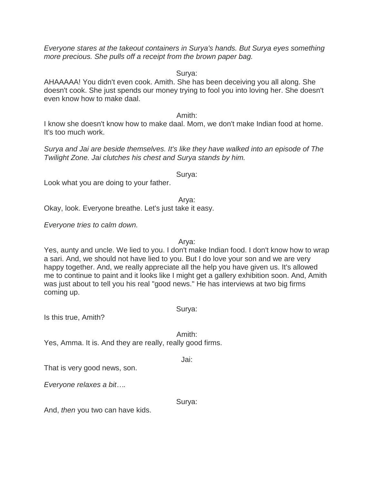*Everyone stares at the takeout containers in Surya's hands. But Surya eyes something more precious. She pulls off a receipt from the brown paper bag.*

Surya:

AHAAAAA! You didn't even cook. Amith. She has been deceiving you all along. She doesn't cook. She just spends our money trying to fool you into loving her. She doesn't even know how to make daal.

Amith:

I know she doesn't know how to make daal. Mom, we don't make Indian food at home. It's too much work.

*Surya and Jai are beside themselves. It's like they have walked into an episode of The Twilight Zone. Jai clutches his chest and Surya stands by him.*

Surya:

Look what you are doing to your father.

Arya:

Okay, look. Everyone breathe. Let's just take it easy.

*Everyone tries to calm down.*

Arya:

Yes, aunty and uncle. We lied to you. I don't make Indian food. I don't know how to wrap a sari. And, we should not have lied to you. But I do love your son and we are very happy together. And, we really appreciate all the help you have given us. It's allowed me to continue to paint and it looks like I might get a gallery exhibition soon. And, Amith was just about to tell you his real "good news." He has interviews at two big firms coming up.

Surya:

Is this true, Amith?

Amith: Yes, Amma. It is. And they are really, really good firms.

Jai:

That is very good news, son.

*Everyone relaxes a bit….*

Surya:

And, *then* you two can have kids.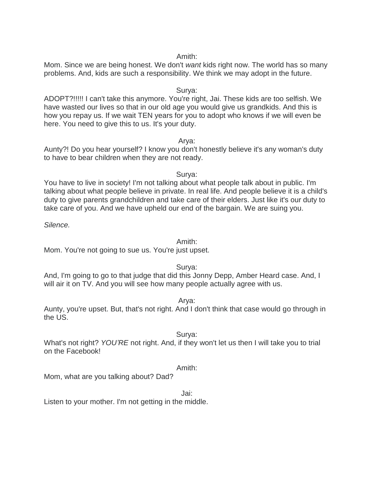#### Amith:

Mom. Since we are being honest. We don't *want* kids right now. The world has so many problems. And, kids are such a responsibility. We think we may adopt in the future.

### Surya:

ADOPT?!!!!! I can't take this anymore. You're right, Jai. These kids are too selfish. We have wasted our lives so that in our old age you would give us grandkids. And this is how you repay us. If we wait TEN years for you to adopt who knows if we will even be here. You need to give this to us. It's your duty.

#### Arya:

Aunty?! Do you hear yourself? I know you don't honestly believe it's any woman's duty to have to bear children when they are not ready.

Surya:

You have to live in society! I'm not talking about what people talk about in public. I'm talking about what people believe in private. In real life. And people believe it is a child's duty to give parents grandchildren and take care of their elders. Just like it's our duty to take care of you. And we have upheld our end of the bargain. We are suing you.

*Silence.*

#### Amith:

Mom. You're not going to sue us. You're just upset.

### Surya:

And, I'm going to go to that judge that did this Jonny Depp, Amber Heard case. And, I will air it on TV. And you will see how many people actually agree with us.

Arya:

Aunty, you're upset. But, that's not right. And I don't think that case would go through in the US.

### Surya:

What's not right? *YOU'RE* not right. And, if they won't let us then I will take you to trial on the Facebook!

### Amith:

Mom, what are you talking about? Dad?

Jai:

Listen to your mother. I'm not getting in the middle.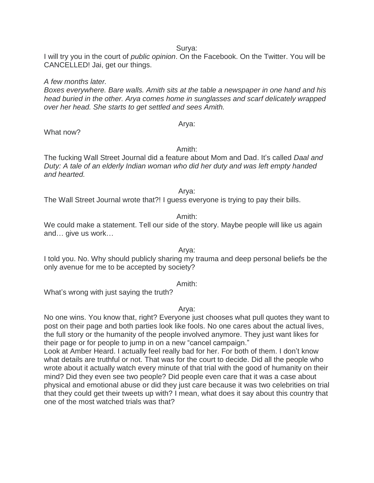I will try you in the court of *public opinion*. On the Facebook. On the Twitter. You will be CANCELLED! Jai, get our things.

*A few months later. Boxes everywhere. Bare walls. Amith sits at the table a newspaper in one hand and his head buried in the other. Arya comes home in sunglasses and scarf delicately wrapped over her head. She starts to get settled and sees Amith.*

What now?

Amith:

Arya:

The fucking Wall Street Journal did a feature about Mom and Dad. It's called *Daal and Duty: A tale of an elderly Indian woman who did her duty and was left empty handed and hearted.*

Arya:

The Wall Street Journal wrote that?! I guess everyone is trying to pay their bills.

#### Amith:

We could make a statement. Tell our side of the story. Maybe people will like us again and… give us work…

Arya:

I told you. No. Why should publicly sharing my trauma and deep personal beliefs be the only avenue for me to be accepted by society?

Amith:

What's wrong with just saying the truth?

Arya:

No one wins. You know that, right? Everyone just chooses what pull quotes they want to post on their page and both parties look like fools. No one cares about the actual lives, the full story or the humanity of the people involved anymore. They just want likes for their page or for people to jump in on a new "cancel campaign."

Look at Amber Heard. I actually feel really bad for her. For both of them. I don't know what details are truthful or not. That was for the court to decide. Did all the people who wrote about it actually watch every minute of that trial with the good of humanity on their mind? Did they even see two people? Did people even care that it was a case about physical and emotional abuse or did they just care because it was two celebrities on trial that they could get their tweets up with? I mean, what does it say about this country that one of the most watched trials was that?

Surya: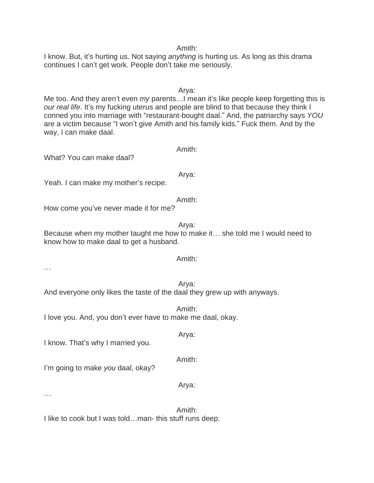I know. But, it's hurting us. Not saying *anything* is hurting us. As long as this drama continues I can't get work. People don't take me seriously.

Arya: Me too. And they aren't even *my* parents…I mean it's like people keep forgetting this is *our real life*. It's my fucking uterus and people are blind to that because they think I conned you into marriage with "restaurant-bought daal." And, the patriarchy says *YOU* are a victim because "I won't give Amith and his family kids." Fuck them. And by the way, I can make daal.

Arya:

Amith:

What? You can make daal?

…

…

Yeah. I can make my mother's recipe.

Amith: How come you've never made it for me?

Arya: Because when my mother taught me how to make it… she told me I would need to know how to make daal to get a husband.

# Arya: And everyone only likes the taste of the daal they grew up with anyways.

Amith: I love you. And, you don't ever have to make me daal, okay.

I know. That's why I married you.

I'm going to make *you* daal, okay?

Amith: I like to cook but I was told…man- this stuff runs deep.

#### Amith:

#### Amith:

# Arya:

### Amith:

Arya: